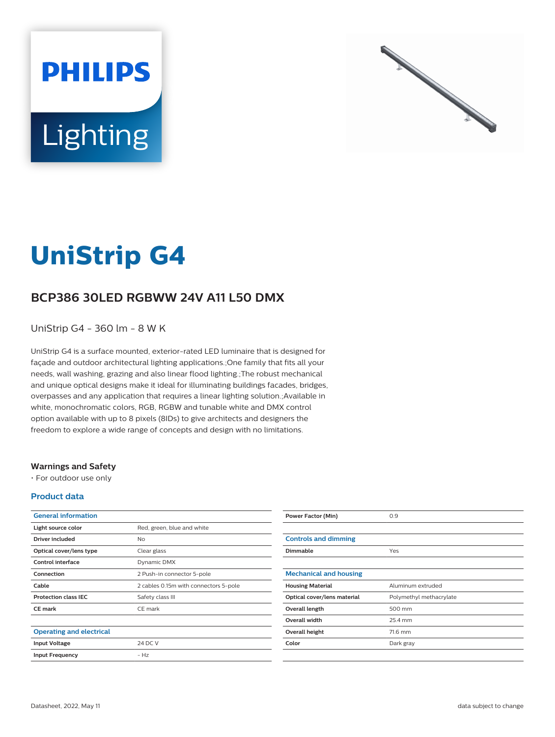



# **UniStrip G4**

## **BCP386 30LED RGBWW 24V A11 L50 DMX**

UniStrip G4 - 360 lm - 8 W K

UniStrip G4 is a surface mounted, exterior-rated LED luminaire that is designed for façade and outdoor architectural lighting applications.;One family that fits all your needs, wall washing, grazing and also linear flood lighting.;The robust mechanical and unique optical designs make it ideal for illuminating buildings facades, bridges, overpasses and any application that requires a linear lighting solution.;Available in white, monochromatic colors, RGB, RGBW and tunable white and DMX control option available with up to 8 pixels (8IDs) to give architects and designers the freedom to explore a wide range of concepts and design with no limitations.

#### **Warnings and Safety**

• For outdoor use only

#### **Product data**

| <b>General information</b>      |                                       |
|---------------------------------|---------------------------------------|
| Light source color              | Red, green, blue and white            |
| Driver included                 | <b>No</b>                             |
| Optical cover/lens type         | Clear glass                           |
| Control interface               | Dynamic DMX                           |
| Connection                      | 2 Push-in connector 5-pole            |
| Cable                           | 2 cables 0.15m with connectors 5-pole |
| <b>Protection class IEC</b>     | Safety class III                      |
| <b>CE</b> mark                  | CE mark                               |
|                                 |                                       |
| <b>Operating and electrical</b> |                                       |
| <b>Input Voltage</b>            | 24 DC V                               |
| <b>Input Frequency</b>          | $- Hz$                                |

| <b>Power Factor (Min)</b>     | 0.9                     |
|-------------------------------|-------------------------|
|                               |                         |
| <b>Controls and dimming</b>   |                         |
| <b>Dimmable</b>               | Yes                     |
|                               |                         |
| <b>Mechanical and housing</b> |                         |
| <b>Housing Material</b>       | Aluminum extruded       |
| Optical cover/lens material   | Polymethyl methacrylate |
| Overall length                | 500 mm                  |
| <b>Overall width</b>          | 25.4 mm                 |
| Overall height                | 71.6 mm                 |
| Color                         | Dark gray               |
|                               |                         |